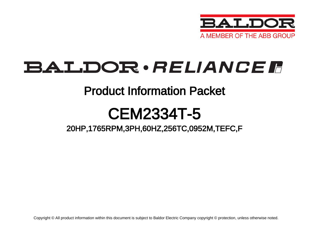

# BALDOR · RELIANCE F

## Product Information Packet

# CEM2334T-5

20HP,1765RPM,3PH,60HZ,256TC,0952M,TEFC,F

Copyright © All product information within this document is subject to Baldor Electric Company copyright © protection, unless otherwise noted.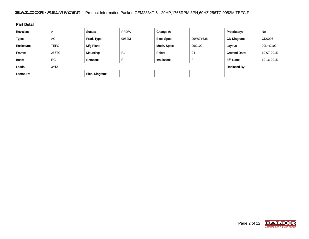#### BALDOR · RELIANCE F Product Information Packet: CEM2334T-5 - 20HP,1765RPM,3PH,60HZ,256TC,0952M,TEFC,F

| <b>Part Detail</b> |                |                  |                |             |          |                      |            |  |  |  |
|--------------------|----------------|------------------|----------------|-------------|----------|----------------------|------------|--|--|--|
| Revision:          | $\overline{A}$ | Status:          | PRD/A          | Change #:   |          | Proprietary:         | No         |  |  |  |
| Type:              | AC             | Prod. Type:      | 0952M          | Elec. Spec: | 09WGY638 | CD Diagram:          | CD0006     |  |  |  |
| Enclosure:         | <b>TEFC</b>    | Mfg Plant:       |                | Mech. Spec: | 09C102   | Layout:              | 09LYC102   |  |  |  |
| Frame:             | 256TC          | Mounting:        | F <sub>1</sub> | Poles:      | 04       | <b>Created Date:</b> | 10-07-2015 |  |  |  |
| Base:              | <b>RG</b>      | <b>Rotation:</b> | R              | Insulation: |          | Eff. Date:           | 10-16-2015 |  |  |  |
| Leads:             | 3#12           |                  |                |             |          | <b>Replaced By:</b>  |            |  |  |  |
| Literature:        |                | Elec. Diagram:   |                |             |          |                      |            |  |  |  |

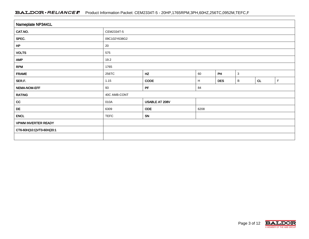#### BALDOR · RELIANCE F Product Information Packet: CEM2334T-5 - 20HP,1765RPM,3PH,60HZ,256TC,0952M,TEFC,F

| Nameplate NP3441L          |                                       |                                     |      |  |  |    |             |  |  |
|----------------------------|---------------------------------------|-------------------------------------|------|--|--|----|-------------|--|--|
| CAT.NO.                    | CEM2334T-5                            |                                     |      |  |  |    |             |  |  |
| SPEC.                      | 09C102Y638G2                          |                                     |      |  |  |    |             |  |  |
| HP                         | 20                                    |                                     |      |  |  |    |             |  |  |
| <b>VOLTS</b>               | 575                                   |                                     |      |  |  |    |             |  |  |
| <b>AMP</b>                 | 19.2                                  |                                     |      |  |  |    |             |  |  |
| <b>RPM</b>                 | 1765                                  |                                     |      |  |  |    |             |  |  |
| <b>FRAME</b>               | PH<br>HZ<br>256TC<br>$\sqrt{3}$<br>60 |                                     |      |  |  |    |             |  |  |
| SER.F.                     | 1.15                                  | <b>CODE</b><br><b>DES</b><br>H<br>B |      |  |  | CL | $\mathsf F$ |  |  |
| <b>NEMA-NOM-EFF</b>        | PF<br>93<br>84                        |                                     |      |  |  |    |             |  |  |
| <b>RATING</b>              | 40C AMB-CONT                          |                                     |      |  |  |    |             |  |  |
| cc                         | 010A                                  | USABLE AT 208V                      |      |  |  |    |             |  |  |
| DE                         | 6309                                  | <b>ODE</b>                          | 6208 |  |  |    |             |  |  |
| <b>ENCL</b>                | <b>TEFC</b>                           | SN                                  |      |  |  |    |             |  |  |
| <b>VPWM INVERTER READY</b> |                                       |                                     |      |  |  |    |             |  |  |
| CT6-60H(10:1)VT3-60H(20:1  |                                       |                                     |      |  |  |    |             |  |  |
|                            |                                       |                                     |      |  |  |    |             |  |  |

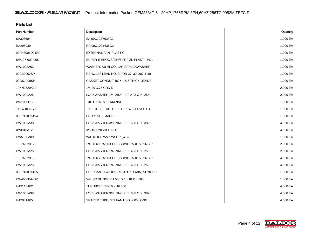| <b>Parts List</b>  |                                          |          |
|--------------------|------------------------------------------|----------|
| <b>Part Number</b> | Description                              | Quantity |
| SA308604           | SA 09C102Y638G2                          | 1.000 EA |
| RA295939           | RA 09C102Y638G2                          | 1.000 EA |
| 09FN3001D01SP      | EXTERNAL FAN, PLASTIC                    | 1.000 EA |
| S/P107-000-005     | SUPER-E PROC'S(254/6 FR.) ZK PLANT - POL | 1.000 EA |
| HW1002A63          | WASHER, 5/8 HI-COLLAR SPRLCKWASHER       | 1.000 EA |
| 09CB3002SP         | CB W/1.38 LEAD HOLE FOR 37, 39, 307 & 30 | 1.000 EA |
| 09GS1000SP         | GASKET-CONDUIT BOX, 1/16 THICK LEXIDE    | 1.000 EA |
| 10XN2520K12        | 1/4-20 X.75 GRD 5                        | 2.000 EA |
| HW1001A25          | LOCKWASHER 1/4, ZINC PLT .493 OD, .255 I | 2.000 EA |
| WD1000B17          | T&B CX35TN TERMINAL                      | 1.000 EA |
| 11XW1032G06        | 10-32 X .38, TAPTITE II, HEX WSHR SLTD U | 1.000 EA |
| 09EP1100A194       | ENDPLATE, MACH                           | 1.000 EA |
| HW1001A38          | LOCKWASHER 3/8, ZINC PLT .688 OD, .382 I | 4.000 EA |
| XY3816A12          | 3/8-16 FINISHED NUT                      | 4.000 EA |
| HW5100A08          | W3118-035 WVY WSHR (WB)                  | 1.000 EA |
| 10XN2520K28        | 1/4-20 X 1.75" HX HD SCRWGRADE 5, ZINC P | 2.000 EA |
| HW1001A25          | LOCKWASHER 1/4, ZINC PLT .493 OD, .255 I | 2.000 EA |
| 10XN2520K36        | 1/4-20 X 2.25" HX HD SCRWGRADE 5, ZINC P | 4.000 EA |
| HW1001A25          | LOCKWASHER 1/4, ZINC PLT .493 OD, .255 I | 4.000 EA |
| 09EP1300A155       | PUEP MACH W/309 BRG & "O" DRAIN, SLINGER | 1.000 EA |
| <b>HW4600B44SP</b> | V-RING SLINGER 1.500 X 1.810 X 0.280     | 1.000 EA |
| HA3113A02          | THRUBOLT 3/8-16 X 16.750                 | 4.000 EA |
| HW1001A38          | LOCKWASHER 3/8, ZINC PLT .688 OD, .382 I | 4.000 EA |
| HA2081A05          | SPACER TUBE, 309 FAN HSG, 2.00 LONG      | 4.000 EA |

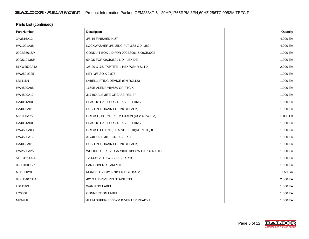| <b>Parts List (continued)</b> |                                          |          |  |  |  |  |
|-------------------------------|------------------------------------------|----------|--|--|--|--|
| Part Number                   | Description                              | Quantity |  |  |  |  |
| XY3816A12                     | 3/8-16 FINISHED NUT                      | 4.000 EA |  |  |  |  |
| HW1001A38                     | LOCKWASHER 3/8, ZINC PLT .688 OD, .382 I | 4.000 EA |  |  |  |  |
| 09CB3501SP                    | CONDUIT BOX LID FOR 09CB3001 & 09CB3002  | 1.000 EA |  |  |  |  |
| 09GS1013SP                    | 09 GS FOR 09CB3501 LID - LEXIDE          | 1.000 EA |  |  |  |  |
| 51XW2520A12                   | .25-20 X .75, TAPTITE II, HEX WSHR SLTD  | 2.000 EA |  |  |  |  |
| HW2501G25                     | KEY, 3/8 SQ X 2.875                      | 1.000 EA |  |  |  |  |
| LB1115N                       | LABEL, LIFTING DEVICE (ON ROLLS)         | 1.000 EA |  |  |  |  |
| HW4500A05                     | 1669B ALEM/UNIV860 GR FTG X              | 1.000 EA |  |  |  |  |
| HW4500A17                     | 317400 ALEMITE GREASE RELIEF             | 1.000 EA |  |  |  |  |
| HA4051A00                     | PLASTIC CAP FOR GREASE FITTING           | 1.000 EA |  |  |  |  |
| HA4066A01                     | PUSH IN T-DRAIN FITTING (BLACK)          | 1.000 EA |  |  |  |  |
| MJ1000A75                     | GREASE, POLYREX EM EXXON (USe 4824-15A)  | 0.080 LB |  |  |  |  |
| HA4051A00                     | PLASTIC CAP FOR GREASE FITTING           | 1.000 EA |  |  |  |  |
| HW4500A03                     | GREASE FITTING, .125 NPT 1610(ALEMITE) 8 | 1.000 EA |  |  |  |  |
| HW4500A17                     | 317400 ALEMITE GREASE RELIEF             | 1.000 EA |  |  |  |  |
| HA4066A01                     | PUSH IN T-DRAIN FITTING (BLACK)          | 1.000 EA |  |  |  |  |
| HW2500A25                     | WOODRUFF KEY USA #1008 #BLOW CARBON STEE | 1.000 EA |  |  |  |  |
| 51XB1214A20                   | 12-14X1.25 HXWSSLD SERTYB                | 1.000 EA |  |  |  |  |
| 09FH4000SP                    | FAN COVER, STAMPED                       | 1.000 EA |  |  |  |  |
| MG1000Y03                     | MUNSELL 2.53Y 6.70/ 4.60, GLOSS 20,      | 0.050 GA |  |  |  |  |
| 85XU0407S04                   | 4X1/4 U DRIVE PIN STAINLESS              | 2.000 EA |  |  |  |  |
| LB1119N                       | <b>WARNING LABEL</b>                     | 1.000 EA |  |  |  |  |
| LC0006                        | <b>CONNECTION LABEL</b>                  | 1.000 EA |  |  |  |  |
| NP3441L                       | ALUM SUPER-E VPWM INVERTER READY UL      | 1.000 EA |  |  |  |  |

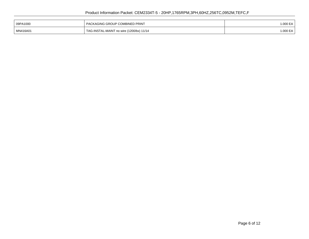| 09PA1000 | I PACKAGING GROUP COMBINED PRINT         | 000 EA   |
|----------|------------------------------------------|----------|
| MN416A01 | TAG-INSTAL-MAINT no wire (1200/bx) 11/14 | 1.000 EA |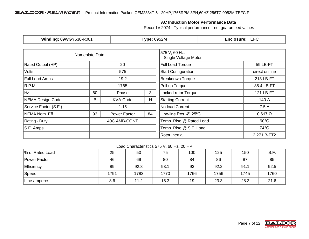### **AC Induction Motor Performance Data**

Record # 2074 - Typical performance - not guaranteed values

| Winding: 09WGY638-R001   |                           | <b>Type: 0952M</b> |                                       | <b>Enclosure: TEFC</b>     |                                          |  |  |
|--------------------------|---------------------------|--------------------|---------------------------------------|----------------------------|------------------------------------------|--|--|
| Nameplate Data           |                           |                    | 575 V, 60 Hz:<br>Single Voltage Motor |                            |                                          |  |  |
| <b>Rated Output (HP)</b> |                           | 20                 |                                       | Full Load Torque           | 59 LB-FT                                 |  |  |
| <b>Volts</b>             | 575                       |                    |                                       | <b>Start Configuration</b> | direct on line                           |  |  |
| <b>Full Load Amps</b>    |                           | 19.2               |                                       |                            | 213 LB-FT                                |  |  |
| R.P.M.                   | 1765                      |                    | Pull-up Torque                        | 85.4 LB-FT                 |                                          |  |  |
| Hz                       | 60                        | Phase              | 3                                     | Locked-rotor Torque        | 121 LB-FT                                |  |  |
| NEMA Design Code         | B<br>H<br><b>KVA Code</b> |                    |                                       | <b>Starting Current</b>    | 140 A                                    |  |  |
| Service Factor (S.F.)    |                           | 1.15               | No-load Current                       |                            | 7.5 A                                    |  |  |
| NEMA Nom. Eff.           | 93<br>84<br>Power Factor  |                    |                                       | Line-line Res. @ 25°C      | $0.617 \Omega$                           |  |  |
| <b>Rating - Duty</b>     |                           | 40C AMB-CONT       |                                       | Temp. Rise @ Rated Load    | $60^{\circ}$ C                           |  |  |
| S.F. Amps                |                           |                    |                                       |                            | Temp. Rise @ S.F. Load<br>$74^{\circ}$ C |  |  |
|                          |                           |                    |                                       | Rotor inertia              | 2.27 LB-FT2                              |  |  |

#### Load Characteristics 575 V, 60 Hz, 20 HP

| % of Rated Load | 25   | 50   | 75   | 100  | 125  | 150  | S.F. |
|-----------------|------|------|------|------|------|------|------|
| Power Factor    | 46   | 69   | 80   | 84   | 86   | 87   | 85   |
| Efficiency      | 89   | 92.8 | 93.1 | 93   | 92.2 | 91.1 | 92.5 |
| Speed           | 1791 | 1783 | 1770 | 1766 | 1756 | 1745 | 1760 |
| Line amperes    | 8.6  | 11.2 | 15.3 | 19   | 23.3 | 28.3 | 21.6 |

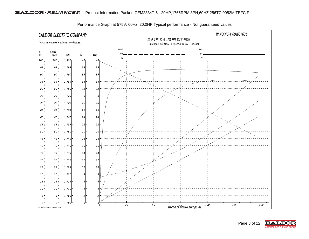

Performance Graph at 575V, 60Hz, 20.0HP Typical performance - Not guaranteed values

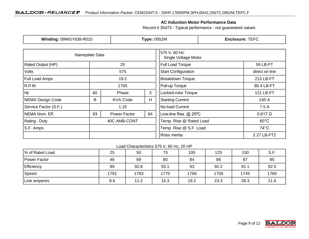### **AC Induction Motor Performance Data**

Record # 35473 - Typical performance - not guaranteed values

| Winding: 09WGY638-R010  |      | <b>Type: 0952M</b>   |                 | <b>Enclosure: TEFC</b>                |                                          |                |
|-------------------------|------|----------------------|-----------------|---------------------------------------|------------------------------------------|----------------|
| Nameplate Data          |      |                      |                 | 575 V, 60 Hz:<br>Single Voltage Motor |                                          |                |
| Rated Output (HP)       | 20   |                      |                 | Full Load Torque                      | 59 LB-FT                                 |                |
| Volts                   |      | 575                  |                 | <b>Start Configuration</b>            | direct on line                           |                |
| Full Load Amps<br>19.2  |      |                      |                 | <b>Breakdown Torque</b><br>213 LB-FT  |                                          |                |
| R.P.M.                  | 1765 |                      | Pull-up Torque  | 85.4 LB-FT                            |                                          |                |
| Hz                      | 60   | Phase                | 3               | Locked-rotor Torque                   | 121 LB-FT                                |                |
| <b>NEMA Design Code</b> | B    | H<br><b>KVA Code</b> |                 | <b>Starting Current</b>               | 140 A                                    |                |
| Service Factor (S.F.)   |      | 1.15                 | No-load Current |                                       | 7.5 A                                    |                |
| NEMA Nom. Eff.          | 93   | <b>Power Factor</b>  | 84              | Line-line Res. @ 25°C                 |                                          | $0.617 \Omega$ |
| Rating - Duty           |      | 40C AMB-CONT         |                 | Temp. Rise @ Rated Load               | $60^{\circ}$ C                           |                |
| S.F. Amps               |      |                      |                 |                                       | Temp. Rise @ S.F. Load<br>$74^{\circ}$ C |                |
|                         |      |                      |                 | Rotor inertia                         | 2.27 LB-FT2                              |                |

#### Load Characteristics 575 V, 60 Hz, 20 HP

| % of Rated Load   | 25   | 50   | 75   | 100  | 125  | 150  | S.F. |
|-------------------|------|------|------|------|------|------|------|
| Power Factor      | 46   | 69   | 80   | 84   | 86   | 87   | 85   |
| <b>Efficiency</b> | 89   | 92.8 | 93.1 | 93   | 92.2 | 91.1 | 92.5 |
| Speed             | 1791 | 1783 | 1770 | 1766 | 1756 | 1745 | 1760 |
| Line amperes      | 8.6  | 11.2 | 15.3 | 19.2 | 23.3 | 28.3 | 21.6 |

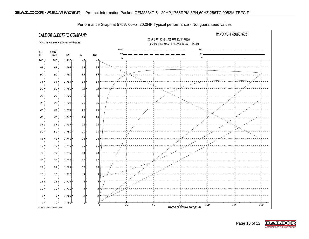

Performance Graph at 575V, 60Hz, 20.0HP Typical performance - Not guaranteed values

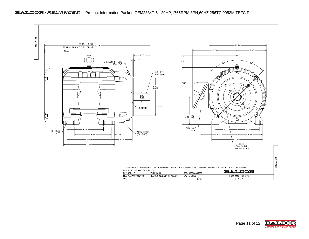